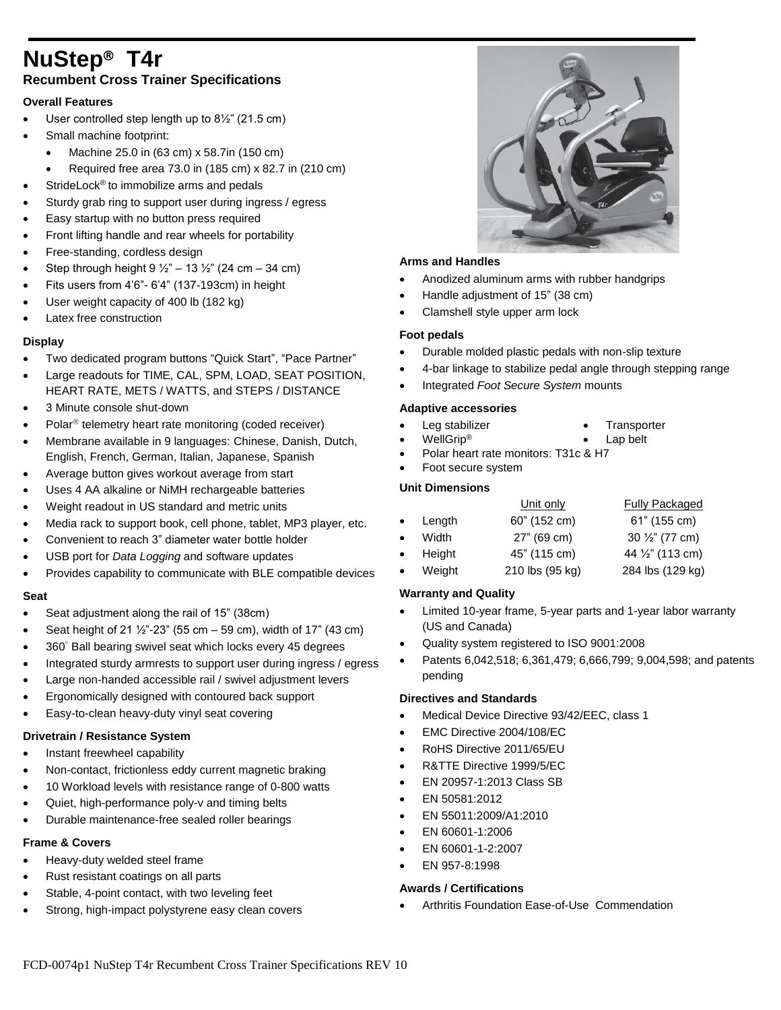# **NuStep T4r Recumbent Cross Trainer Specifications**

# **Overall Features**

- User controlled step length up to 8½" (21.5 cm)
- Small machine footprint:
	- Machine 25.0 in (63 cm) x 58.7in (150 cm)
- Required free area 73.0 in  $(185 \text{ cm}) \times 82.7$  in  $(210 \text{ cm})$
- StrideLock® to immobilize arms and pedals
- Sturdy grab ring to support user during ingress / egress
- Easy startup with no button press required
- Front lifting handle and rear wheels for portability
- Free-standing, cordless design
- Step through height  $9\frac{1}{2}$ " 13  $\frac{1}{2}$ " (24 cm 34 cm)
- Fits users from 4'6"- 6'4" (137-193cm) in height
- User weight capacity of 400 lb (182 kg)
- Latex free construction

# **Display**

- Two dedicated program buttons "Quick Start", "Pace Partner"
- Large readouts for TIME, CAL, SPM, LOAD, SEAT POSITION, HEART RATE, METS / WATTS, and STEPS / DISTANCE
- 3 Minute console shut-down
- Polar<sup>®</sup> telemetry heart rate monitoring (coded receiver)
- Membrane available in 9 languages: Chinese, Danish, Dutch, English, French, German, Italian, Japanese, Spanish
- Average button gives workout average from start
- Uses 4 AA alkaline or NiMH rechargeable batteries
- Weight readout in US standard and metric units
- Media rack to support book, cell phone, tablet, MP3 player, etc.
- Convenient to reach 3" diameter water bottle holder
- USB port for *Data Logging* and software updates
- Provides capability to communicate with BLE compatible devices

#### **Seat**

- Seat adjustment along the rail of 15" (38cm)
- Seat height of 21 ½"-23" (55 cm 59 cm), width of 17" (43 cm)
- 360° Ball bearing swivel seat which locks every 45 degrees
- Integrated sturdy armrests to support user during ingress / egress
- Large non-handed accessible rail / swivel adjustment levers
- Ergonomically designed with contoured back support
- Easy-to-clean heavy-duty vinyl seat covering

#### **Drivetrain / Resistance System**

- Instant freewheel capability
- Non-contact, frictionless eddy current magnetic braking
- 10 Workload levels with resistance range of 0-800 watts
- Quiet, high-performance poly-v and timing belts
- Durable maintenance-free sealed roller bearings

# **Frame & Covers**

- Heavy-duty welded steel frame
- Rust resistant coatings on all parts
- Stable, 4-point contact, with two leveling feet
- Strong, high-impact polystyrene easy clean covers



# **Arms and Handles**

- Anodized aluminum arms with rubber handgrips
- Handle adjustment of 15" (38 cm)
- Clamshell style upper arm lock

# **Foot pedals**

- Durable molded plastic pedals with non-slip texture
- 4-bar linkage to stabilize pedal angle through stepping range
- Integrated *Foot Secure System* mounts

#### **Adaptive accessories**

- 
- Leg stabilizer Transporter
	- WellGrip<sup>®</sup> **contains the container of the U** Lap belt
- Polar heart rate monitors: T31c & H7
- Foot secure system

#### **Unit Dimensions**

|           |                  | Unit only       | <b>Fully Packaged</b> |
|-----------|------------------|-----------------|-----------------------|
|           | $\bullet$ Length | 60" (152 cm)    | 61" (155 cm)          |
| $\bullet$ | Width            | 27" (69 cm)     | 30 1/2" (77 cm)       |
|           | • Height         | 45" (115 cm)    | 44 1/2" (113 cm)      |
| $\bullet$ | Weight           | 210 lbs (95 kg) | 284 lbs (129 kg)      |

#### **Warranty and Quality**

- Limited 10-year frame, 5-year parts and 1-year labor warranty (US and Canada)
- Quality system registered to ISO 9001:2008
- Patents 6,042,518; 6,361,479; 6,666,799; 9,004,598; and patents pending

#### **Directives and Standards**

- Medical Device Directive 93/42/EEC, class 1
- EMC Directive 2004/108/EC
- RoHS Directive 2011/65/EU
- R&TTE Directive 1999/5/EC
- EN 20957-1:2013 Class SB
- EN 50581:2012
- EN 55011:2009/A1:2010
- EN 60601-1:2006
- EN 60601-1-2:2007
- EN 957-8:1998

#### **Awards / Certifications**

Arthritis Foundation Ease-of-Use Commendation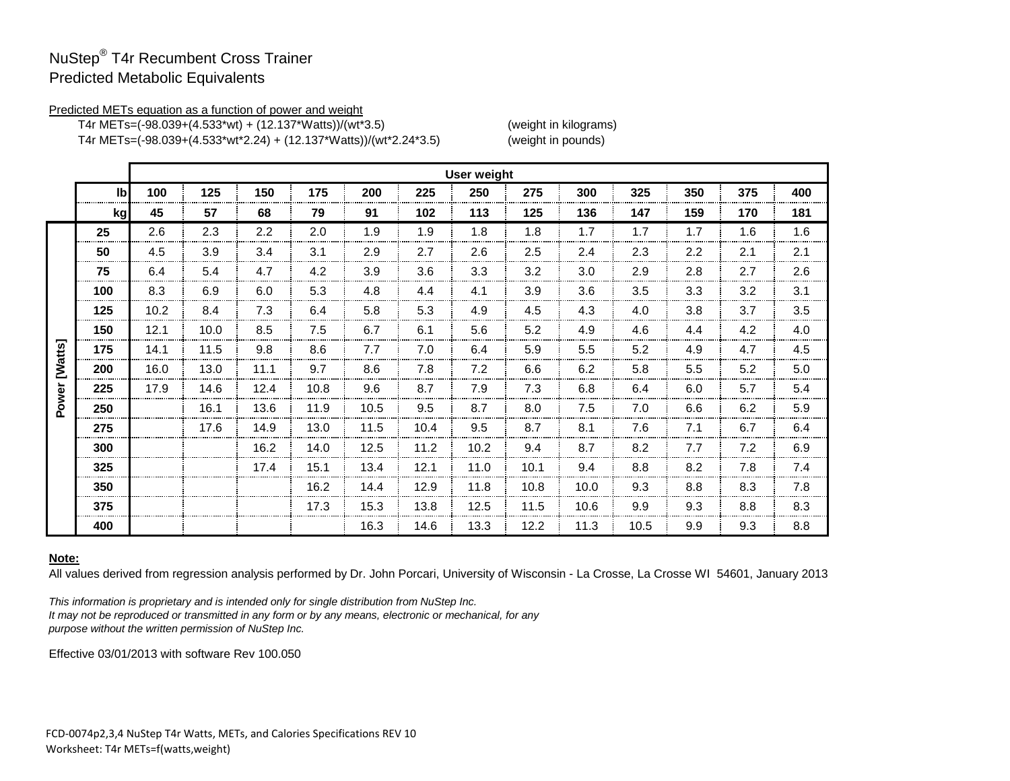# NuStep® T4r Recumbent Cross Trainer Predicted Metabolic Equivalents

### Predicted METs equation as a function of power and weight

T4r METs=(-98.039+(4.533\*wt) + (12.137\*Watts))/(wt\*3.5) (weight in kilograms)

T4r METs=(-98.039+(4.533\*wt\*2.24) + (12.137\*Watts))/(wt\*2.24\*3.5) (weight in pounds)

|         |     | <b>User weight</b> |      |      |      |      |      |      |      |      |      |     |     |     |
|---------|-----|--------------------|------|------|------|------|------|------|------|------|------|-----|-----|-----|
|         | Ibl | 100                | 125  | 150  | 175  | 200  | 225  | 250  | 275  | 300  | 325  | 350 | 375 | 400 |
|         | kg  | 45                 | 57   | 68   | 79   | 91   | 102  | 113  | 125  | 136  | 147  | 159 | 170 | 181 |
| [Watts] | 25  | 2.6                | 2.3  | 2.2  | 2.0  | 1.9  | 1.9  | 1.8  | 1.8  | 1.7  | 1.7  | 1.7 | 1.6 | 1.6 |
|         | 50  | 4.5                | 3.9  | 3.4  | 3.1  | 2.9  | 2.7  | 2.6  | 2.5  | 2.4  | 2.3  | 2.2 | 2.1 | 2.1 |
|         | 75  | 6.4                | 5.4  | 4.7  | 4.2  | 3.9  | 3.6  | 3.3  | 3.2  | 3.0  | 2.9  | 2.8 | 2.7 | 2.6 |
|         | 100 | 8.3                | 6.9  | 6.0  | 5.3  | 4.8  | 4.4  | 4.1  | 3.9  | 3.6  | 3.5  | 3.3 | 3.2 | 3.1 |
|         | 125 | 10.2               | 8.4  | 7.3  | 6.4  | 5.8  | 5.3  | 4.9  | 4.5  | 4.3  | 4.0  | 3.8 | 3.7 | 3.5 |
|         | 150 | 12.1               | 10.0 | 8.5  | 7.5  | 6.7  | 6.1  | 5.6  | 5.2  | 4.9  | 4.6  | 4.4 | 4.2 | 4.0 |
|         | 175 | 14.1               | 11.5 | 9.8  | 8.6  | 7.7  | 7.0  | 6.4  | 5.9  | 5.5  | 5.2  | 4.9 | 4.7 | 4.5 |
|         | 200 | 16.0               | 13.0 | 11.1 | 9.7  | 8.6  | 7.8  | 7.2  | 6.6  | 6.2  | 5.8  | 5.5 | 5.2 | 5.0 |
|         | 225 | 17.9               | 14.6 | 12.4 | 10.8 | 9.6  | 8.7  | 7.9  | 7.3  | 6.8  | 6.4  | 6.0 | 5.7 | 5.4 |
| Power   | 250 |                    | 16.1 | 13.6 | 11.9 | 10.5 | 9.5  | 8.7  | 8.0  | 7.5  | 7.0  | 6.6 | 6.2 | 5.9 |
|         | 275 |                    | 17.6 | 14.9 | 13.0 | 11.5 | 10.4 | 9.5  | 8.7  | 8.1  | 7.6  | 7.1 | 6.7 | 6.4 |
|         | 300 |                    |      | 16.2 | 14.0 | 12.5 | 11.2 | 10.2 | 9.4  | 8.7  | 8.2  | 7.7 | 7.2 | 6.9 |
|         | 325 |                    |      | 17.4 | 15.1 | 13.4 | 12.1 | 11.0 | 10.1 | 9.4  | 8.8  | 8.2 | 7.8 | 7.4 |
|         | 350 |                    |      |      | 16.2 | 14.4 | 12.9 | 11.8 | 10.8 | 10.0 | 9.3  | 8.8 | 8.3 | 7.8 |
|         | 375 |                    |      |      | 17.3 | 15.3 | 13.8 | 12.5 | 11.5 | 10.6 | 9.9  | 9.3 | 8.8 | 8.3 |
|         | 400 |                    |      |      |      | 16.3 | 14.6 | 13.3 | 12.2 | 11.3 | 10.5 | 9.9 | 9.3 | 8.8 |

# **Note:**

All values derived from regression analysis performed by Dr. John Porcari, University of Wisconsin - La Crosse, La Crosse WI 54601, January 2013.

*This information is proprietary and is intended only for single distribution from NuStep Inc. It may not be reproduced or transmitted in any form or by any means, electronic or mechanical, for any purpose without the written permission of NuStep Inc.* 

Effective 03/01/2013 with software Rev 100.050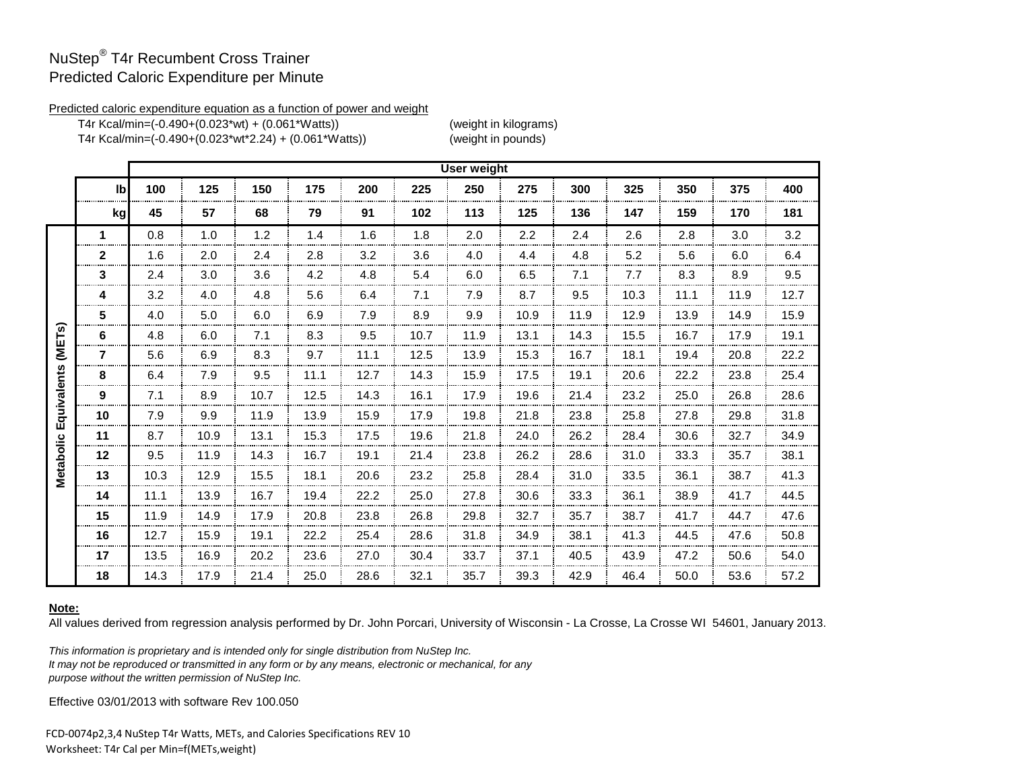# NuStep® T4r Recumbent Cross Trainer Predicted Caloric Expenditure per Minute

#### Predicted caloric expenditure equation as a function of power and weight

T4r Kcal/min=(-0.490+(0.023\*wt) + (0.061\*Watts)) (weight in kilograms) T4r Kcal/min=(-0.490+(0.023\*wt\*2.24) + (0.061\*Watts)) (weight in pounds)

|                       |                     | <b>User weight</b> |      |      |      |      |      |      |      |      |      |      |      |      |
|-----------------------|---------------------|--------------------|------|------|------|------|------|------|------|------|------|------|------|------|
|                       | I <sub>b</sub>      | 100                | 125  | 150  | 175  | 200  | 225  | 250  | 275  | 300  | 325  | 350  | 375  | 400  |
|                       | kg                  | 45                 | 57   | 68   | 79   | 91   | 102  | 113  | 125  | 136  | 147  | 159  | 170  | 181  |
|                       | 1                   | 0.8                | 1.0  | 1.2  | 1.4  | 1.6  | 1.8  | 2.0  | 2.2  | 2.4  | 2.6  | 2.8  | 3.0  | 3.2  |
|                       | $\mathbf{2}$        | 1.6                | 2.0  | 2.4  | 2.8  | 3.2  | 3.6  | 4.0  | 4.4  | 4.8  | 5.2  | 5.6  | 6.0  | 6.4  |
|                       | 3                   | 2.4                | 3.0  | 3.6  | 4.2  | 4.8  | 5.4  | 6.0  | 6.5  | 7.1  | 7.7  | 8.3  | 8.9  | 9.5  |
|                       | 4                   | 3.2                | 4.0  | 4.8  | 5.6  | 6.4  | 7.1  | 7.9  | 8.7  | 9.5  | 10.3 | 11.1 | 11.9 | 12.7 |
|                       | 5                   | 4.0                | 5.0  | 6.0  | 6.9  | 7.9  | 8.9  | 9.9  | 10.9 | 11.9 | 12.9 | 13.9 | 14.9 | 15.9 |
| (METs)<br>Equivalents | 6                   | 4.8                | 6.0  | 7.1  | 8.3  | 9.5  | 10.7 | 11.9 | 13.1 | 14.3 | 15.5 | 16.7 | 17.9 | 19.1 |
|                       | 7                   | 5.6                | 6.9  | 8.3  | 9.7  | 11.1 | 12.5 | 13.9 | 15.3 | 16.7 | 18.1 | 19.4 | 20.8 | 22.2 |
|                       | 8                   | 6.4                | 7.9  | 9.5  | 11.1 | 12.7 | 14.3 | 15.9 | 17.5 | 19.1 | 20.6 | 22.2 | 23.8 | 25.4 |
|                       | 9<br>-------------- | 7.1                | 8.9  | 10.7 | 12.5 | 14.3 | 16.1 | 17.9 | 19.6 | 21.4 | 23.2 | 25.0 | 26.8 | 28.6 |
|                       | 10                  | 7.9                | 9.9  | 11.9 | 13.9 | 15.9 | 17.9 | 19.8 | 21.8 | 23.8 | 25.8 | 27.8 | 29.8 | 31.8 |
|                       | 11                  | 8.7                | 10.9 | 13.1 | 15.3 | 17.5 | 19.6 | 21.8 | 24.0 | 26.2 | 28.4 | 30.6 | 32.7 | 34.9 |
|                       | 12                  | 9.5                | 11.9 | 14.3 | 16.7 | 19.1 | 21.4 | 23.8 | 26.2 | 28.6 | 31.0 | 33.3 | 35.7 | 38.1 |
| Metabolic             | 13                  | 10.3               | 12.9 | 15.5 | 18.1 | 20.6 | 23.2 | 25.8 | 28.4 | 31.0 | 33.5 | 36.1 | 38.7 | 41.3 |
|                       | 14                  | 11.1               | 13.9 | 16.7 | 19.4 | 22.2 | 25.0 | 27.8 | 30.6 | 33.3 | 36.1 | 38.9 | 41.7 | 44.5 |
|                       | 15                  | 11.9               | 14.9 | 17.9 | 20.8 | 23.8 | 26.8 | 29.8 | 32.7 | 35.7 | 38.7 | 41.7 | 44.7 | 47.6 |
|                       | 16                  | 12.7               | 15.9 | 19.1 | 22.2 | 25.4 | 28.6 | 31.8 | 34.9 | 38.1 | 41.3 | 44.5 | 47.6 | 50.8 |
|                       | 17                  | 13.5               | 16.9 | 20.2 | 23.6 | 27.0 | 30.4 | 33.7 | 37.1 | 40.5 | 43.9 | 47.2 | 50.6 | 54.0 |
|                       | 18                  | 14.3               | 17.9 | 21.4 | 25.0 | 28.6 | 32.1 | 35.7 | 39.3 | 42.9 | 46.4 | 50.0 | 53.6 | 57.2 |

# **Note:**

All values derived from regression analysis performed by Dr. John Porcari, University of Wisconsin - La Crosse, La Crosse WI 54601, January 2013.

*This information is proprietary and is intended only for single distribution from NuStep Inc. It may not be reproduced or transmitted in any form or by any means, electronic or mechanical, for any purpose without the written permission of NuStep Inc.* 

Effective 03/01/2013 with software Rev 100.050

FCD-0074p2,3,4 NuStep T4r Watts, METs, and Calories Specifications REV 10 Worksheet: T4r Cal per Min=f(METs,weight)